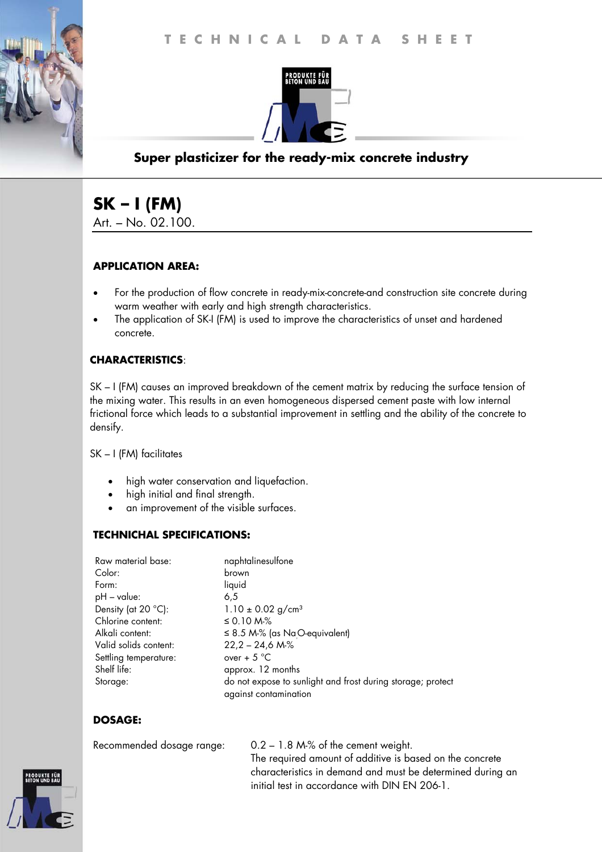

## **Super plasticizer for the ready-mix concrete industry**

# **SK – I (FM)**

Art. – No. 02.100.

### **APPLICATION AREA:**

- For the production of flow concrete in ready-mix-concrete-and construction site concrete during warm weather with early and high strength characteristics.
- The application of SK-I (FM) is used to improve the characteristics of unset and hardened concrete.

### **CHARACTERISTICS**:

SK – I (FM) causes an improved breakdown of the cement matrix by reducing the surface tension of the mixing water. This results in an even homogeneous dispersed cement paste with low internal frictional force which leads to a substantial improvement in settling and the ability of the concrete to densify.

SK – I (FM) facilitates

- high water conservation and liquefaction.
- high initial and final strength.
- an improvement of the visible surfaces.

#### **TECHNICHAL SPECIFICATIONS:**

| Raw material base:           | naphtalinesulfone                                                                    |
|------------------------------|--------------------------------------------------------------------------------------|
| Color:                       | brown                                                                                |
| Form:                        | liquid                                                                               |
| $pH - value$ :               | 6.5                                                                                  |
| Density (at $20^{\circ}$ C): | 1.10 $\pm$ 0.02 g/cm <sup>3</sup>                                                    |
| Chlorine content:            | ≤ 0.10 M $%$                                                                         |
| Alkali content:              | $\leq$ 8.5 M-% (as NaO-equivalent)                                                   |
| Valid solids content:        | $22,2 - 24,6 Mo$ %                                                                   |
| Settling temperature:        | over + $5^{\circ}$ C                                                                 |
| Shelf life:                  | approx. 12 months                                                                    |
| Storage:                     | do not expose to sunlight and frost during storage; protect<br>against contamination |

#### **DOSAGE:**

Recommended dosage range: 0.2 – 1.8 M-% of the cement weight. The required amount of additive is based on the concrete characteristics in demand and must be determined during an initial test in accordance with DIN EN 206-1.